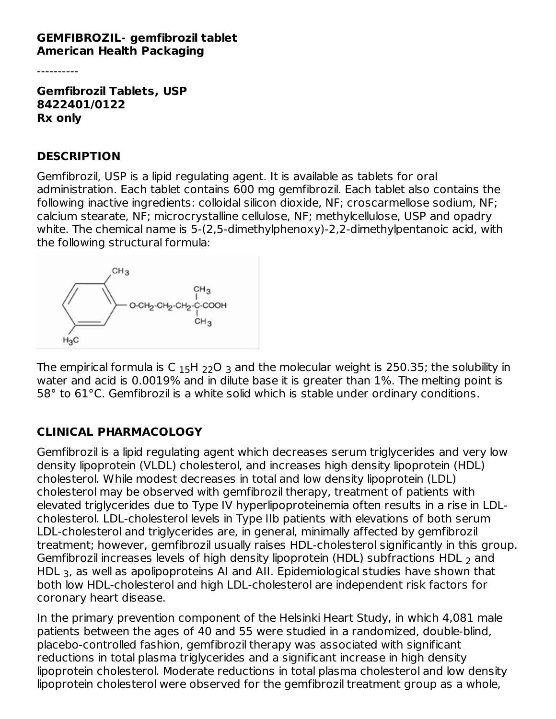#### **GEMFIBROZIL- gemfibrozil tablet American Health Packaging**

----------

**Gemfibrozil Tablets, USP 8422401/0122 Rx only**

### **DESCRIPTION**

Gemfibrozil, USP is a lipid regulating agent. It is available as tablets for oral administration. Each tablet contains 600 mg gemfibrozil. Each tablet also contains the following inactive ingredients: colloidal silicon dioxide, NF; croscarmellose sodium, NF; calcium stearate, NF; microcrystalline cellulose, NF; methylcellulose, USP and opadry white. The chemical name is 5-(2,5-dimethylphenoxy)-2,2-dimethylpentanoic acid, with the following structural formula:



The empirical formula is C  $_{15}$ H  $_{22}$ O  $_{3}$  and the molecular weight is 250.35; the solubility in water and acid is 0.0019% and in dilute base it is greater than 1%. The melting point is 58° to 61°C. Gemfibrozil is a white solid which is stable under ordinary conditions.

### **CLINICAL PHARMACOLOGY**

Gemfibrozil is a lipid regulating agent which decreases serum triglycerides and very low density lipoprotein (VLDL) cholesterol, and increases high density lipoprotein (HDL) cholesterol. While modest decreases in total and low density lipoprotein (LDL) cholesterol may be observed with gemfibrozil therapy, treatment of patients with elevated triglycerides due to Type IV hyperlipoproteinemia often results in a rise in LDLcholesterol. LDL-cholesterol levels in Type IIb patients with elevations of both serum LDL-cholesterol and triglycerides are, in general, minimally affected by gemfibrozil treatment; however, gemfibrozil usually raises HDL-cholesterol significantly in this group. Gemfibrozil increases levels of high density lipoprotein (HDL) subfractions HDL  $_{\rm 2}$  and  $\sf HDL$   $_3$ , as well as apolipoproteins AI and AII. Epidemiological studies have shown that both low HDL-cholesterol and high LDL-cholesterol are independent risk factors for coronary heart disease.

In the primary prevention component of the Helsinki Heart Study, in which 4,081 male patients between the ages of 40 and 55 were studied in a randomized, double-blind, placebo-controlled fashion, gemfibrozil therapy was associated with significant reductions in total plasma triglycerides and a significant increase in high density lipoprotein cholesterol. Moderate reductions in total plasma cholesterol and low density lipoprotein cholesterol were observed for the gemfibrozil treatment group as a whole,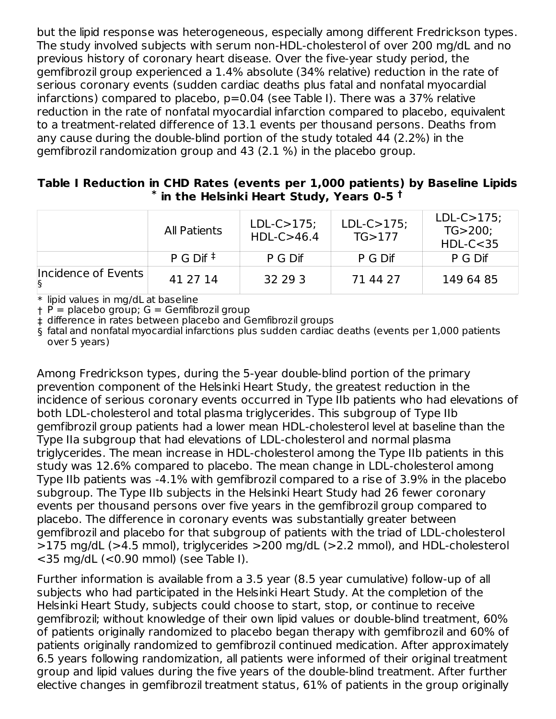but the lipid response was heterogeneous, especially among different Fredrickson types. The study involved subjects with serum non-HDL-cholesterol of over 200 mg/dL and no previous history of coronary heart disease. Over the five-year study period, the gemfibrozil group experienced a 1.4% absolute (34% relative) reduction in the rate of serious coronary events (sudden cardiac deaths plus fatal and nonfatal myocardial infarctions) compared to placebo,  $p=0.04$  (see Table I). There was a 37% relative reduction in the rate of nonfatal myocardial infarction compared to placebo, equivalent to a treatment-related difference of 13.1 events per thousand persons. Deaths from any cause during the double-blind portion of the study totaled 44 (2.2%) in the gemfibrozil randomization group and 43 (2.1 %) in the placebo group.

|  | Table I Reduction in CHD Rates (events per 1,000 patients) by Baseline Lipids |  |  |
|--|-------------------------------------------------------------------------------|--|--|
|  | $*$ in the Helsinki Heart Study, Years 0-5 $^{\dagger}$                       |  |  |

|                           | All Patients                               | $LDL-C>175;$<br>$HDL-C>46.4$ | $LDL-C>175;$<br>TG>177 | $LDL-C>175;$<br>TG > 200;<br>$HDL-C < 35$ |
|---------------------------|--------------------------------------------|------------------------------|------------------------|-------------------------------------------|
|                           | $P$ G Dif <sup><math>\ddagger</math></sup> | P G Dif                      | P G Dif                | P G Dif                                   |
| Incidence of Events<br>۱ş | 41 27 14                                   | 32 29 3                      | 71 44 27               | 149 64 85                                 |

 $\ast$  lipid values in mg/dL at baseline

† P = placebo group; G = Gemfibrozil group

‡ difference in rates between placebo and Gemfibrozil groups

§ fatal and nonfatal myocardial infarctions plus sudden cardiac deaths (events per 1,000 patients over 5 years)

Among Fredrickson types, during the 5-year double-blind portion of the primary prevention component of the Helsinki Heart Study, the greatest reduction in the incidence of serious coronary events occurred in Type IIb patients who had elevations of both LDL-cholesterol and total plasma triglycerides. This subgroup of Type IIb gemfibrozil group patients had a lower mean HDL-cholesterol level at baseline than the Type IIa subgroup that had elevations of LDL-cholesterol and normal plasma triglycerides. The mean increase in HDL-cholesterol among the Type IIb patients in this study was 12.6% compared to placebo. The mean change in LDL-cholesterol among Type IIb patients was -4.1% with gemfibrozil compared to a rise of 3.9% in the placebo subgroup. The Type IIb subjects in the Helsinki Heart Study had 26 fewer coronary events per thousand persons over five years in the gemfibrozil group compared to placebo. The difference in coronary events was substantially greater between gemfibrozil and placebo for that subgroup of patients with the triad of LDL-cholesterol >175 mg/dL (>4.5 mmol), triglycerides >200 mg/dL (>2.2 mmol), and HDL-cholesterol <35 mg/dL (<0.90 mmol) (see Table I).

Further information is available from a 3.5 year (8.5 year cumulative) follow-up of all subjects who had participated in the Helsinki Heart Study. At the completion of the Helsinki Heart Study, subjects could choose to start, stop, or continue to receive gemfibrozil; without knowledge of their own lipid values or double-blind treatment, 60% of patients originally randomized to placebo began therapy with gemfibrozil and 60% of patients originally randomized to gemfibrozil continued medication. After approximately 6.5 years following randomization, all patients were informed of their original treatment group and lipid values during the five years of the double-blind treatment. After further elective changes in gemfibrozil treatment status, 61% of patients in the group originally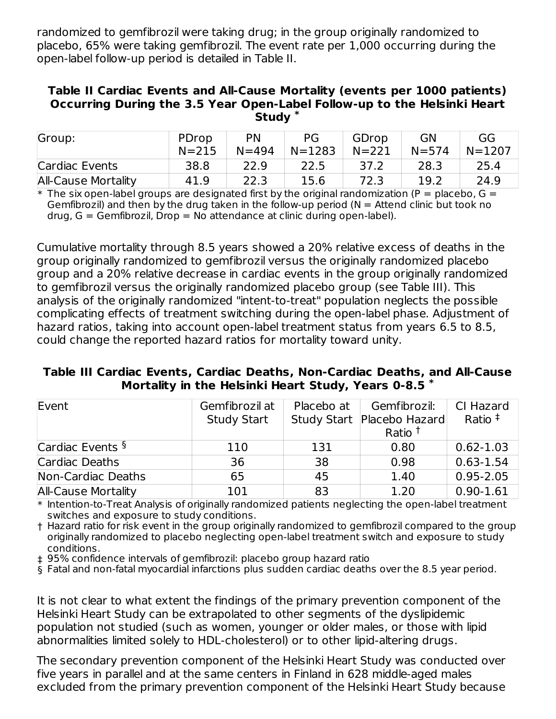randomized to gemfibrozil were taking drug; in the group originally randomized to placebo, 65% were taking gemfibrozil. The event rate per 1,000 occurring during the open-label follow-up period is detailed in Table II.

#### **Table II Cardiac Events and All-Cause Mortality (events per 1000 patients) Occurring During the 3.5 Year Open-Label Follow-up to the Helsinki Heart Study \***

| Group:                     | PDrop<br>$N = 215$ | <b>PN</b><br>$N = 494$ | PG<br>$N = 1283$ | GDrop<br>$N = 221$ | GN<br>$N = 574$ | GG<br>$N = 1207$ |
|----------------------------|--------------------|------------------------|------------------|--------------------|-----------------|------------------|
| Cardiac Events             | 38.8               | 22.9                   | 22.5             | 37.2               | 28.3            | 25.4             |
| <b>All-Cause Mortality</b> | 41.9               | 22.3                   | 15.6             | 72.3               | 19.2            | 24.9             |

 $\ast$  The six open-label groups are designated first by the original randomization (P = placebo, G = Gemfibrozil) and then by the drug taken in the follow-up period ( $N =$  Attend clinic but took no drug, G = Gemfibrozil, Drop = No attendance at clinic during open-label).

Cumulative mortality through 8.5 years showed a 20% relative excess of deaths in the group originally randomized to gemfibrozil versus the originally randomized placebo group and a 20% relative decrease in cardiac events in the group originally randomized to gemfibrozil versus the originally randomized placebo group (see Table III). This analysis of the originally randomized "intent-to-treat" population neglects the possible complicating effects of treatment switching during the open-label phase. Adjustment of hazard ratios, taking into account open-label treatment status from years 6.5 to 8.5, could change the reported hazard ratios for mortality toward unity.

| Table III Cardiac Events, Cardiac Deaths, Non-Cardiac Deaths, and All-Cause |                                                        |  |  |
|-----------------------------------------------------------------------------|--------------------------------------------------------|--|--|
|                                                                             | Mortality in the Helsinki Heart Study, Years 0-8.5 $*$ |  |  |

| Event                       | Gemfibrozil at     | Placebo at | Gemfibrozil:                 | CI Hazard     |
|-----------------------------|--------------------|------------|------------------------------|---------------|
|                             | <b>Study Start</b> |            | Study Start   Placebo Hazard | Ratio $‡$     |
|                             |                    |            | Ratio <sup>†</sup>           |               |
| Cardiac Events <sup>§</sup> | 110                | 131        | 0.80                         | $0.62 - 1.03$ |
| Cardiac Deaths              | 36                 | 38         | 0.98                         | $0.63 - 1.54$ |
| Non-Cardiac Deaths          | 65                 | 45         | 1.40                         | $0.95 - 2.05$ |
| <b>All-Cause Mortality</b>  | 101                | 83         | 1.20                         | $0.90 - 1.61$ |

 $\ast$  Intention-to-Treat Analysis of originally randomized patients neglecting the open-label treatment switches and exposure to study conditions.

† Hazard ratio for risk event in the group originally randomized to gemfibrozil compared to the group originally randomized to placebo neglecting open-label treatment switch and exposure to study conditions.

‡ 95% confidence intervals of gemfibrozil: placebo group hazard ratio

§ Fatal and non-fatal myocardial infarctions plus sudden cardiac deaths over the 8.5 year period.

It is not clear to what extent the findings of the primary prevention component of the Helsinki Heart Study can be extrapolated to other segments of the dyslipidemic population not studied (such as women, younger or older males, or those with lipid abnormalities limited solely to HDL-cholesterol) or to other lipid-altering drugs.

The secondary prevention component of the Helsinki Heart Study was conducted over five years in parallel and at the same centers in Finland in 628 middle-aged males excluded from the primary prevention component of the Helsinki Heart Study because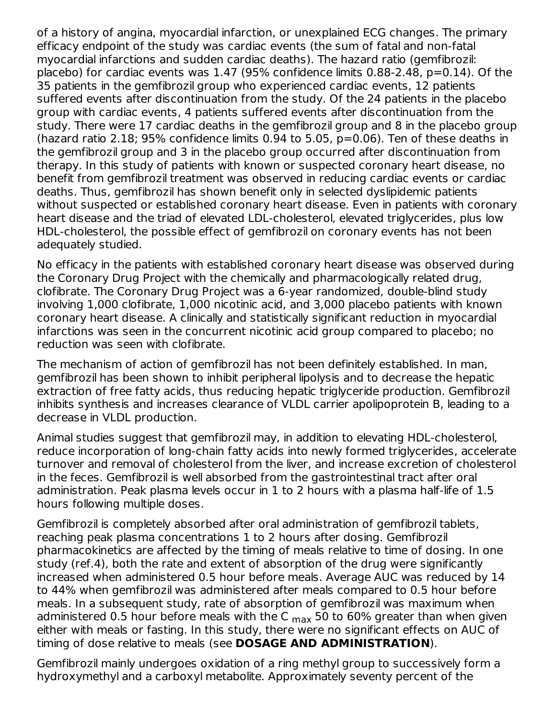of a history of angina, myocardial infarction, or unexplained ECG changes. The primary efficacy endpoint of the study was cardiac events (the sum of fatal and non-fatal myocardial infarctions and sudden cardiac deaths). The hazard ratio (gemfibrozil: placebo) for cardiac events was 1.47 (95% confidence limits 0.88-2.48, p=0.14). Of the 35 patients in the gemfibrozil group who experienced cardiac events, 12 patients suffered events after discontinuation from the study. Of the 24 patients in the placebo group with cardiac events, 4 patients suffered events after discontinuation from the study. There were 17 cardiac deaths in the gemfibrozil group and 8 in the placebo group (hazard ratio 2.18; 95% confidence limits 0.94 to 5.05, p=0.06). Ten of these deaths in the gemfibrozil group and 3 in the placebo group occurred after discontinuation from therapy. In this study of patients with known or suspected coronary heart disease, no benefit from gemfibrozil treatment was observed in reducing cardiac events or cardiac deaths. Thus, gemfibrozil has shown benefit only in selected dyslipidemic patients without suspected or established coronary heart disease. Even in patients with coronary heart disease and the triad of elevated LDL-cholesterol, elevated triglycerides, plus low HDL-cholesterol, the possible effect of gemfibrozil on coronary events has not been adequately studied.

No efficacy in the patients with established coronary heart disease was observed during the Coronary Drug Project with the chemically and pharmacologically related drug, clofibrate. The Coronary Drug Project was a 6-year randomized, double-blind study involving 1,000 clofibrate, 1,000 nicotinic acid, and 3,000 placebo patients with known coronary heart disease. A clinically and statistically significant reduction in myocardial infarctions was seen in the concurrent nicotinic acid group compared to placebo; no reduction was seen with clofibrate.

The mechanism of action of gemfibrozil has not been definitely established. In man, gemfibrozil has been shown to inhibit peripheral lipolysis and to decrease the hepatic extraction of free fatty acids, thus reducing hepatic triglyceride production. Gemfibrozil inhibits synthesis and increases clearance of VLDL carrier apolipoprotein B, leading to a decrease in VLDL production.

Animal studies suggest that gemfibrozil may, in addition to elevating HDL-cholesterol, reduce incorporation of long-chain fatty acids into newly formed triglycerides, accelerate turnover and removal of cholesterol from the liver, and increase excretion of cholesterol in the feces. Gemfibrozil is well absorbed from the gastrointestinal tract after oral administration. Peak plasma levels occur in 1 to 2 hours with a plasma half-life of 1.5 hours following multiple doses.

Gemfibrozil is completely absorbed after oral administration of gemfibrozil tablets, reaching peak plasma concentrations 1 to 2 hours after dosing. Gemfibrozil pharmacokinetics are affected by the timing of meals relative to time of dosing. In one study (ref.4), both the rate and extent of absorption of the drug were significantly increased when administered 0.5 hour before meals. Average AUC was reduced by 14 to 44% when gemfibrozil was administered after meals compared to 0.5 hour before meals. In a subsequent study, rate of absorption of gemfibrozil was maximum when administered 0.5 hour before meals with the C  $_{\sf max}$  50 to 60% greater than when given either with meals or fasting. In this study, there were no significant effects on AUC of timing of dose relative to meals (see **DOSAGE AND ADMINISTRATION**).

Gemfibrozil mainly undergoes oxidation of a ring methyl group to successively form a hydroxymethyl and a carboxyl metabolite. Approximately seventy percent of the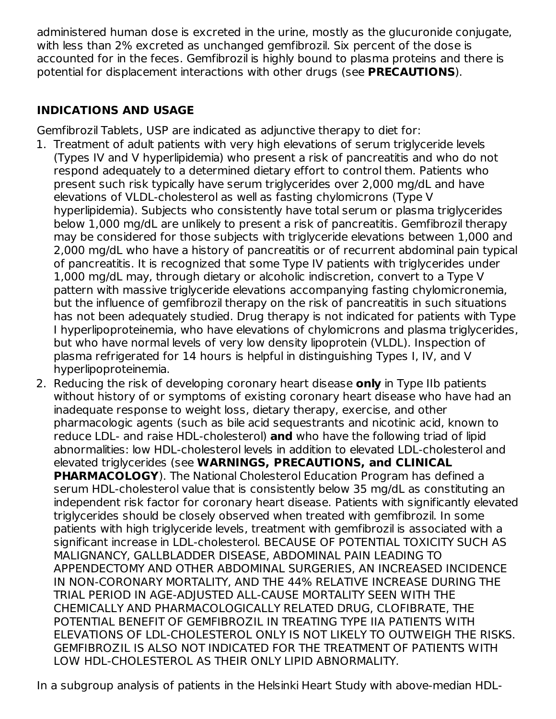administered human dose is excreted in the urine, mostly as the glucuronide conjugate, with less than 2% excreted as unchanged gemfibrozil. Six percent of the dose is accounted for in the feces. Gemfibrozil is highly bound to plasma proteins and there is potential for displacement interactions with other drugs (see **PRECAUTIONS**).

### **INDICATIONS AND USAGE**

Gemfibrozil Tablets, USP are indicated as adjunctive therapy to diet for:

- 1. Treatment of adult patients with very high elevations of serum triglyceride levels (Types IV and V hyperlipidemia) who present a risk of pancreatitis and who do not respond adequately to a determined dietary effort to control them. Patients who present such risk typically have serum triglycerides over 2,000 mg/dL and have elevations of VLDL-cholesterol as well as fasting chylomicrons (Type V hyperlipidemia). Subjects who consistently have total serum or plasma triglycerides below 1,000 mg/dL are unlikely to present a risk of pancreatitis. Gemfibrozil therapy may be considered for those subjects with triglyceride elevations between 1,000 and 2,000 mg/dL who have a history of pancreatitis or of recurrent abdominal pain typical of pancreatitis. It is recognized that some Type IV patients with triglycerides under 1,000 mg/dL may, through dietary or alcoholic indiscretion, convert to a Type V pattern with massive triglyceride elevations accompanying fasting chylomicronemia, but the influence of gemfibrozil therapy on the risk of pancreatitis in such situations has not been adequately studied. Drug therapy is not indicated for patients with Type I hyperlipoproteinemia, who have elevations of chylomicrons and plasma triglycerides, but who have normal levels of very low density lipoprotein (VLDL). Inspection of plasma refrigerated for 14 hours is helpful in distinguishing Types I, IV, and V hyperlipoproteinemia.
- 2. Reducing the risk of developing coronary heart disease **only** in Type IIb patients without history of or symptoms of existing coronary heart disease who have had an inadequate response to weight loss, dietary therapy, exercise, and other pharmacologic agents (such as bile acid sequestrants and nicotinic acid, known to reduce LDL- and raise HDL-cholesterol) **and** who have the following triad of lipid abnormalities: low HDL-cholesterol levels in addition to elevated LDL-cholesterol and elevated triglycerides (see **WARNINGS, PRECAUTIONS, and CLINICAL PHARMACOLOGY**). The National Cholesterol Education Program has defined a serum HDL-cholesterol value that is consistently below 35 mg/dL as constituting an independent risk factor for coronary heart disease. Patients with significantly elevated triglycerides should be closely observed when treated with gemfibrozil. In some patients with high triglyceride levels, treatment with gemfibrozil is associated with a significant increase in LDL-cholesterol. BECAUSE OF POTENTIAL TOXICITY SUCH AS MALIGNANCY, GALLBLADDER DISEASE, ABDOMINAL PAIN LEADING TO APPENDECTOMY AND OTHER ABDOMINAL SURGERIES, AN INCREASED INCIDENCE IN NON-CORONARY MORTALITY, AND THE 44% RELATIVE INCREASE DURING THE TRIAL PERIOD IN AGE-ADJUSTED ALL-CAUSE MORTALITY SEEN WITH THE CHEMICALLY AND PHARMACOLOGICALLY RELATED DRUG, CLOFIBRATE, THE POTENTIAL BENEFIT OF GEMFIBROZIL IN TREATING TYPE IIA PATIENTS WITH ELEVATIONS OF LDL-CHOLESTEROL ONLY IS NOT LIKELY TO OUTWEIGH THE RISKS. GEMFIBROZIL IS ALSO NOT INDICATED FOR THE TREATMENT OF PATIENTS WITH LOW HDL-CHOLESTEROL AS THEIR ONLY LIPID ABNORMALITY.

In a subgroup analysis of patients in the Helsinki Heart Study with above-median HDL-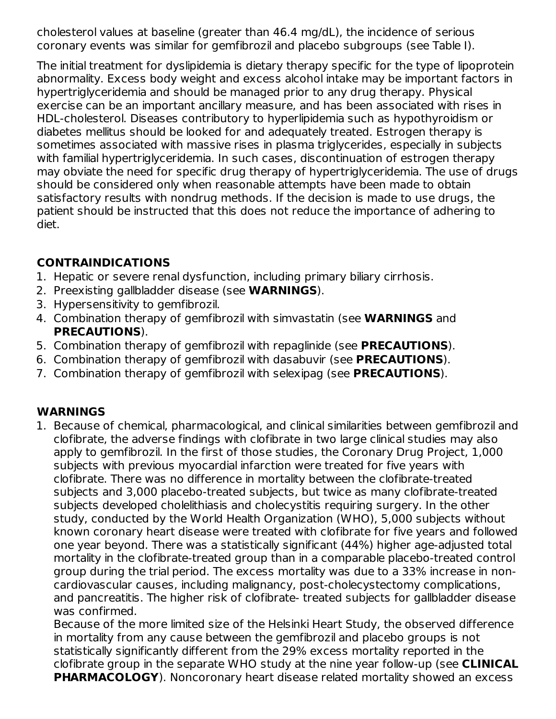cholesterol values at baseline (greater than 46.4 mg/dL), the incidence of serious coronary events was similar for gemfibrozil and placebo subgroups (see Table I).

The initial treatment for dyslipidemia is dietary therapy specific for the type of lipoprotein abnormality. Excess body weight and excess alcohol intake may be important factors in hypertriglyceridemia and should be managed prior to any drug therapy. Physical exercise can be an important ancillary measure, and has been associated with rises in HDL-cholesterol. Diseases contributory to hyperlipidemia such as hypothyroidism or diabetes mellitus should be looked for and adequately treated. Estrogen therapy is sometimes associated with massive rises in plasma triglycerides, especially in subjects with familial hypertriglyceridemia. In such cases, discontinuation of estrogen therapy may obviate the need for specific drug therapy of hypertriglyceridemia. The use of drugs should be considered only when reasonable attempts have been made to obtain satisfactory results with nondrug methods. If the decision is made to use drugs, the patient should be instructed that this does not reduce the importance of adhering to diet.

## **CONTRAINDICATIONS**

- 1. Hepatic or severe renal dysfunction, including primary biliary cirrhosis.
- 2. Preexisting gallbladder disease (see **WARNINGS**).
- 3. Hypersensitivity to gemfibrozil.
- 4. Combination therapy of gemfibrozil with simvastatin (see **WARNINGS** and **PRECAUTIONS**).
- 5. Combination therapy of gemfibrozil with repaglinide (see **PRECAUTIONS**).
- 6. Combination therapy of gemfibrozil with dasabuvir (see **PRECAUTIONS**).
- 7. Combination therapy of gemfibrozil with selexipag (see **PRECAUTIONS**).

### **WARNINGS**

1. Because of chemical, pharmacological, and clinical similarities between gemfibrozil and clofibrate, the adverse findings with clofibrate in two large clinical studies may also apply to gemfibrozil. In the first of those studies, the Coronary Drug Project, 1,000 subjects with previous myocardial infarction were treated for five years with clofibrate. There was no difference in mortality between the clofibrate-treated subjects and 3,000 placebo-treated subjects, but twice as many clofibrate-treated subjects developed cholelithiasis and cholecystitis requiring surgery. In the other study, conducted by the World Health Organization (WHO), 5,000 subjects without known coronary heart disease were treated with clofibrate for five years and followed one year beyond. There was a statistically significant (44%) higher age-adjusted total mortality in the clofibrate-treated group than in a comparable placebo-treated control group during the trial period. The excess mortality was due to a 33% increase in noncardiovascular causes, including malignancy, post-cholecystectomy complications, and pancreatitis. The higher risk of clofibrate- treated subjects for gallbladder disease was confirmed.

Because of the more limited size of the Helsinki Heart Study, the observed difference in mortality from any cause between the gemfibrozil and placebo groups is not statistically significantly different from the 29% excess mortality reported in the clofibrate group in the separate WHO study at the nine year follow-up (see **CLINICAL PHARMACOLOGY**). Noncoronary heart disease related mortality showed an excess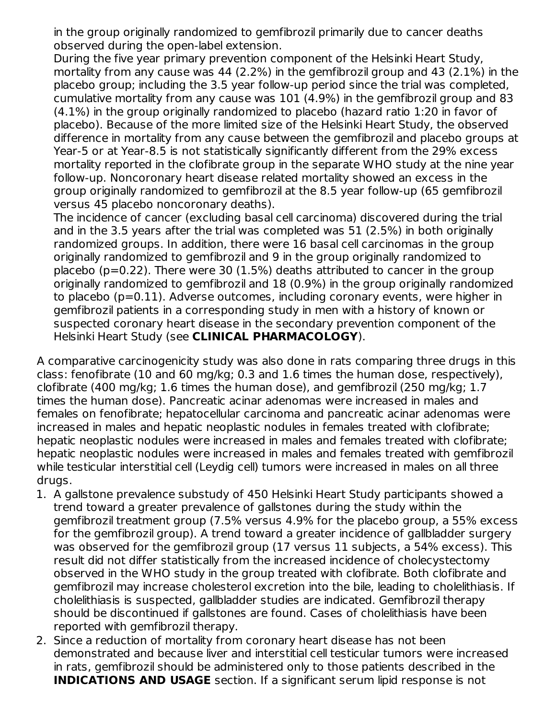in the group originally randomized to gemfibrozil primarily due to cancer deaths observed during the open-label extension.

During the five year primary prevention component of the Helsinki Heart Study, mortality from any cause was 44 (2.2%) in the gemfibrozil group and 43 (2.1%) in the placebo group; including the 3.5 year follow-up period since the trial was completed, cumulative mortality from any cause was 101 (4.9%) in the gemfibrozil group and 83 (4.1%) in the group originally randomized to placebo (hazard ratio 1:20 in favor of placebo). Because of the more limited size of the Helsinki Heart Study, the observed difference in mortality from any cause between the gemfibrozil and placebo groups at Year-5 or at Year-8.5 is not statistically significantly different from the 29% excess mortality reported in the clofibrate group in the separate WHO study at the nine year follow-up. Noncoronary heart disease related mortality showed an excess in the group originally randomized to gemfibrozil at the 8.5 year follow-up (65 gemfibrozil versus 45 placebo noncoronary deaths).

The incidence of cancer (excluding basal cell carcinoma) discovered during the trial and in the 3.5 years after the trial was completed was 51 (2.5%) in both originally randomized groups. In addition, there were 16 basal cell carcinomas in the group originally randomized to gemfibrozil and 9 in the group originally randomized to placebo ( $p=0.22$ ). There were 30 (1.5%) deaths attributed to cancer in the group originally randomized to gemfibrozil and 18 (0.9%) in the group originally randomized to placebo (p=0.11). Adverse outcomes, including coronary events, were higher in gemfibrozil patients in a corresponding study in men with a history of known or suspected coronary heart disease in the secondary prevention component of the Helsinki Heart Study (see **CLINICAL PHARMACOLOGY**).

A comparative carcinogenicity study was also done in rats comparing three drugs in this class: fenofibrate (10 and 60 mg/kg; 0.3 and 1.6 times the human dose, respectively), clofibrate (400 mg/kg; 1.6 times the human dose), and gemfibrozil (250 mg/kg; 1.7 times the human dose). Pancreatic acinar adenomas were increased in males and females on fenofibrate; hepatocellular carcinoma and pancreatic acinar adenomas were increased in males and hepatic neoplastic nodules in females treated with clofibrate; hepatic neoplastic nodules were increased in males and females treated with clofibrate; hepatic neoplastic nodules were increased in males and females treated with gemfibrozil while testicular interstitial cell (Leydig cell) tumors were increased in males on all three drugs.

- 1. A gallstone prevalence substudy of 450 Helsinki Heart Study participants showed a trend toward a greater prevalence of gallstones during the study within the gemfibrozil treatment group (7.5% versus 4.9% for the placebo group, a 55% excess for the gemfibrozil group). A trend toward a greater incidence of gallbladder surgery was observed for the gemfibrozil group (17 versus 11 subjects, a 54% excess). This result did not differ statistically from the increased incidence of cholecystectomy observed in the WHO study in the group treated with clofibrate. Both clofibrate and gemfibrozil may increase cholesterol excretion into the bile, leading to cholelithiasis. If cholelithiasis is suspected, gallbladder studies are indicated. Gemfibrozil therapy should be discontinued if gallstones are found. Cases of cholelithiasis have been reported with gemfibrozil therapy.
- 2. Since a reduction of mortality from coronary heart disease has not been demonstrated and because liver and interstitial cell testicular tumors were increased in rats, gemfibrozil should be administered only to those patients described in the **INDICATIONS AND USAGE** section. If a significant serum lipid response is not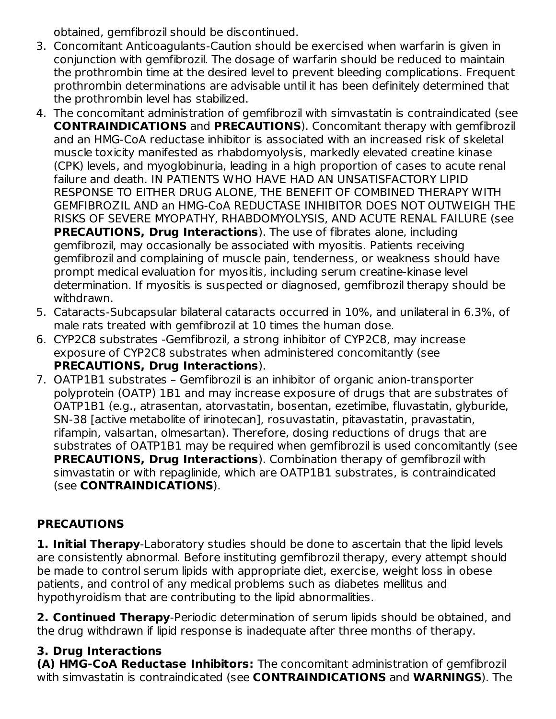obtained, gemfibrozil should be discontinued.

- 3. Concomitant Anticoagulants-Caution should be exercised when warfarin is given in conjunction with gemfibrozil. The dosage of warfarin should be reduced to maintain the prothrombin time at the desired level to prevent bleeding complications. Frequent prothrombin determinations are advisable until it has been definitely determined that the prothrombin level has stabilized.
- 4. The concomitant administration of gemfibrozil with simvastatin is contraindicated (see **CONTRAINDICATIONS** and **PRECAUTIONS**). Concomitant therapy with gemfibrozil and an HMG-CoA reductase inhibitor is associated with an increased risk of skeletal muscle toxicity manifested as rhabdomyolysis, markedly elevated creatine kinase (CPK) levels, and myoglobinuria, leading in a high proportion of cases to acute renal failure and death. IN PATIENTS WHO HAVE HAD AN UNSATISFACTORY LIPID RESPONSE TO EITHER DRUG ALONE, THE BENEFIT OF COMBINED THERAPY WITH GEMFIBROZIL AND an HMG-CoA REDUCTASE INHIBITOR DOES NOT OUTWEIGH THE RISKS OF SEVERE MYOPATHY, RHABDOMYOLYSIS, AND ACUTE RENAL FAILURE (see **PRECAUTIONS, Drug Interactions**). The use of fibrates alone, including gemfibrozil, may occasionally be associated with myositis. Patients receiving gemfibrozil and complaining of muscle pain, tenderness, or weakness should have prompt medical evaluation for myositis, including serum creatine-kinase level determination. If myositis is suspected or diagnosed, gemfibrozil therapy should be withdrawn.
- 5. Cataracts-Subcapsular bilateral cataracts occurred in 10%, and unilateral in 6.3%, of male rats treated with gemfibrozil at 10 times the human dose.
- 6. CYP2C8 substrates -Gemfibrozil, a strong inhibitor of CYP2C8, may increase exposure of CYP2C8 substrates when administered concomitantly (see **PRECAUTIONS, Drug Interactions**).
- 7. OATP1B1 substrates Gemfibrozil is an inhibitor of organic anion-transporter polyprotein (OATP) 1B1 and may increase exposure of drugs that are substrates of OATP1B1 (e.g., atrasentan, atorvastatin, bosentan, ezetimibe, fluvastatin, glyburide, SN-38 [active metabolite of irinotecan], rosuvastatin, pitavastatin, pravastatin, rifampin, valsartan, olmesartan). Therefore, dosing reductions of drugs that are substrates of OATP1B1 may be required when gemfibrozil is used concomitantly (see **PRECAUTIONS, Drug Interactions**). Combination therapy of gemfibrozil with simvastatin or with repaglinide, which are OATP1B1 substrates, is contraindicated (see **CONTRAINDICATIONS**).

## **PRECAUTIONS**

**1. Initial Therapy**-Laboratory studies should be done to ascertain that the lipid levels are consistently abnormal. Before instituting gemfibrozil therapy, every attempt should be made to control serum lipids with appropriate diet, exercise, weight loss in obese patients, and control of any medical problems such as diabetes mellitus and hypothyroidism that are contributing to the lipid abnormalities.

**2. Continued Therapy**-Periodic determination of serum lipids should be obtained, and the drug withdrawn if lipid response is inadequate after three months of therapy.

## **3. Drug Interactions**

**(A) HMG-CoA Reductase Inhibitors:** The concomitant administration of gemfibrozil with simvastatin is contraindicated (see **CONTRAINDICATIONS** and **WARNINGS**). The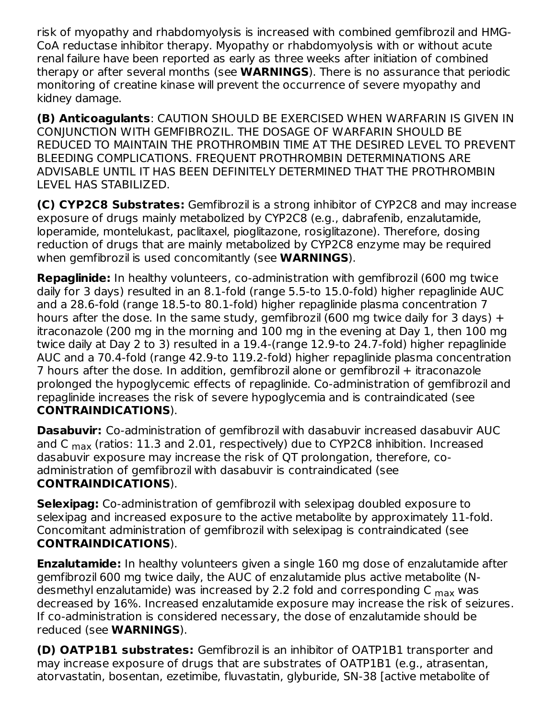risk of myopathy and rhabdomyolysis is increased with combined gemfibrozil and HMG-CoA reductase inhibitor therapy. Myopathy or rhabdomyolysis with or without acute renal failure have been reported as early as three weeks after initiation of combined therapy or after several months (see **WARNINGS**). There is no assurance that periodic monitoring of creatine kinase will prevent the occurrence of severe myopathy and kidney damage.

**(B) Anticoagulants**: CAUTION SHOULD BE EXERCISED WHEN WARFARIN IS GIVEN IN CONJUNCTION WITH GEMFIBROZIL. THE DOSAGE OF WARFARIN SHOULD BE REDUCED TO MAINTAIN THE PROTHROMBIN TIME AT THE DESIRED LEVEL TO PREVENT BLEEDING COMPLICATIONS. FREQUENT PROTHROMBIN DETERMINATIONS ARE ADVISABLE UNTIL IT HAS BEEN DEFINITELY DETERMINED THAT THE PROTHROMBIN LEVEL HAS STABILIZED.

**(C) CYP2C8 Substrates:** Gemfibrozil is a strong inhibitor of CYP2C8 and may increase exposure of drugs mainly metabolized by CYP2C8 (e.g., dabrafenib, enzalutamide, loperamide, montelukast, paclitaxel, pioglitazone, rosiglitazone). Therefore, dosing reduction of drugs that are mainly metabolized by CYP2C8 enzyme may be required when gemfibrozil is used concomitantly (see **WARNINGS**).

**Repaglinide:** In healthy volunteers, co-administration with gemfibrozil (600 mg twice daily for 3 days) resulted in an 8.1-fold (range 5.5-to 15.0-fold) higher repaglinide AUC and a 28.6-fold (range 18.5-to 80.1-fold) higher repaglinide plasma concentration 7 hours after the dose. In the same study, gemfibrozil (600 mg twice daily for 3 days)  $+$ itraconazole (200 mg in the morning and 100 mg in the evening at Day 1, then 100 mg twice daily at Day 2 to 3) resulted in a 19.4-(range 12.9-to 24.7-fold) higher repaglinide AUC and a 70.4-fold (range 42.9-to 119.2-fold) higher repaglinide plasma concentration 7 hours after the dose. In addition, gemfibrozil alone or gemfibrozil + itraconazole prolonged the hypoglycemic effects of repaglinide. Co-administration of gemfibrozil and repaglinide increases the risk of severe hypoglycemia and is contraindicated (see **CONTRAINDICATIONS**).

**Dasabuvir:** Co-administration of gemfibrozil with dasabuvir increased dasabuvir AUC and C <sub>max</sub> (ratios: 11.3 and 2.01, respectively) due to CYP2C8 inhibition. Increased dasabuvir exposure may increase the risk of QT prolongation, therefore, coadministration of gemfibrozil with dasabuvir is contraindicated (see **CONTRAINDICATIONS**).

**Selexipag:** Co-administration of gemfibrozil with selexipag doubled exposure to selexipag and increased exposure to the active metabolite by approximately 11-fold. Concomitant administration of gemfibrozil with selexipag is contraindicated (see **CONTRAINDICATIONS**).

**Enzalutamide:** In healthy volunteers given a single 160 mg dose of enzalutamide after gemfibrozil 600 mg twice daily, the AUC of enzalutamide plus active metabolite (Ndesmethyl enzalutamide) was increased by 2.2 fold and corresponding C <sub>max</sub> was decreased by 16%. Increased enzalutamide exposure may increase the risk of seizures. If co-administration is considered necessary, the dose of enzalutamide should be reduced (see **WARNINGS**).

**(D) OATP1B1 substrates:** Gemfibrozil is an inhibitor of OATP1B1 transporter and may increase exposure of drugs that are substrates of OATP1B1 (e.g., atrasentan, atorvastatin, bosentan, ezetimibe, fluvastatin, glyburide, SN-38 [active metabolite of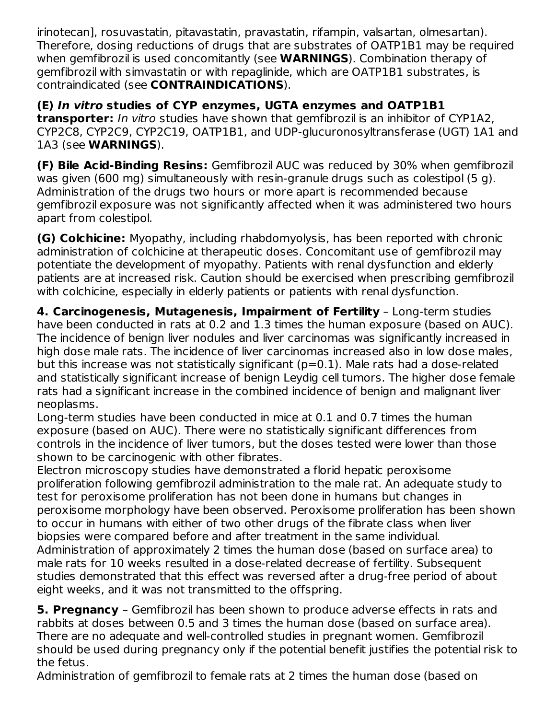irinotecan], rosuvastatin, pitavastatin, pravastatin, rifampin, valsartan, olmesartan). Therefore, dosing reductions of drugs that are substrates of OATP1B1 may be required when gemfibrozil is used concomitantly (see **WARNINGS**). Combination therapy of gemfibrozil with simvastatin or with repaglinide, which are OATP1B1 substrates, is contraindicated (see **CONTRAINDICATIONS**).

**(E) In vitro studies of CYP enzymes, UGTA enzymes and OATP1B1 transporter:** In vitro studies have shown that gemfibrozil is an inhibitor of CYP1A2, CYP2C8, CYP2C9, CYP2C19, OATP1B1, and UDP-glucuronosyltransferase (UGT) 1A1 and 1A3 (see **WARNINGS**).

**(F) Bile Acid-Binding Resins:** Gemfibrozil AUC was reduced by 30% when gemfibrozil was given (600 mg) simultaneously with resin-granule drugs such as colestipol (5 g). Administration of the drugs two hours or more apart is recommended because gemfibrozil exposure was not significantly affected when it was administered two hours apart from colestipol.

**(G) Colchicine:** Myopathy, including rhabdomyolysis, has been reported with chronic administration of colchicine at therapeutic doses. Concomitant use of gemfibrozil may potentiate the development of myopathy. Patients with renal dysfunction and elderly patients are at increased risk. Caution should be exercised when prescribing gemfibrozil with colchicine, especially in elderly patients or patients with renal dysfunction.

**4. Carcinogenesis, Mutagenesis, Impairment of Fertility** – Long-term studies have been conducted in rats at 0.2 and 1.3 times the human exposure (based on AUC). The incidence of benign liver nodules and liver carcinomas was significantly increased in high dose male rats. The incidence of liver carcinomas increased also in low dose males, but this increase was not statistically significant ( $p=0.1$ ). Male rats had a dose-related and statistically significant increase of benign Leydig cell tumors. The higher dose female rats had a significant increase in the combined incidence of benign and malignant liver neoplasms.

Long-term studies have been conducted in mice at 0.1 and 0.7 times the human exposure (based on AUC). There were no statistically significant differences from controls in the incidence of liver tumors, but the doses tested were lower than those shown to be carcinogenic with other fibrates.

Electron microscopy studies have demonstrated a florid hepatic peroxisome proliferation following gemfibrozil administration to the male rat. An adequate study to test for peroxisome proliferation has not been done in humans but changes in peroxisome morphology have been observed. Peroxisome proliferation has been shown to occur in humans with either of two other drugs of the fibrate class when liver biopsies were compared before and after treatment in the same individual. Administration of approximately 2 times the human dose (based on surface area) to male rats for 10 weeks resulted in a dose-related decrease of fertility. Subsequent studies demonstrated that this effect was reversed after a drug-free period of about eight weeks, and it was not transmitted to the offspring.

**5. Pregnancy** – Gemfibrozil has been shown to produce adverse effects in rats and rabbits at doses between 0.5 and 3 times the human dose (based on surface area). There are no adequate and well-controlled studies in pregnant women. Gemfibrozil should be used during pregnancy only if the potential benefit justifies the potential risk to the fetus.

Administration of gemfibrozil to female rats at 2 times the human dose (based on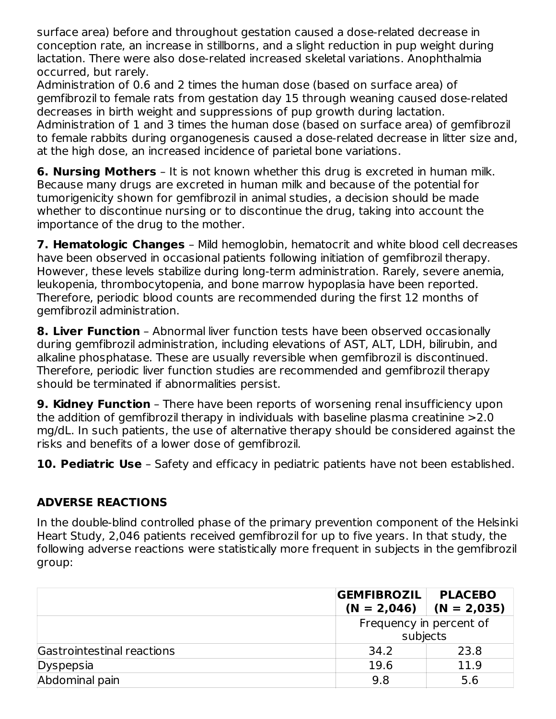surface area) before and throughout gestation caused a dose-related decrease in conception rate, an increase in stillborns, and a slight reduction in pup weight during lactation. There were also dose-related increased skeletal variations. Anophthalmia occurred, but rarely.

Administration of 0.6 and 2 times the human dose (based on surface area) of gemfibrozil to female rats from gestation day 15 through weaning caused dose-related decreases in birth weight and suppressions of pup growth during lactation. Administration of 1 and 3 times the human dose (based on surface area) of gemfibrozil to female rabbits during organogenesis caused a dose-related decrease in litter size and, at the high dose, an increased incidence of parietal bone variations.

**6. Nursing Mothers** – It is not known whether this drug is excreted in human milk. Because many drugs are excreted in human milk and because of the potential for tumorigenicity shown for gemfibrozil in animal studies, a decision should be made whether to discontinue nursing or to discontinue the drug, taking into account the importance of the drug to the mother.

**7. Hematologic Changes** – Mild hemoglobin, hematocrit and white blood cell decreases have been observed in occasional patients following initiation of gemfibrozil therapy. However, these levels stabilize during long-term administration. Rarely, severe anemia, leukopenia, thrombocytopenia, and bone marrow hypoplasia have been reported. Therefore, periodic blood counts are recommended during the first 12 months of gemfibrozil administration.

**8. Liver Function** – Abnormal liver function tests have been observed occasionally during gemfibrozil administration, including elevations of AST, ALT, LDH, bilirubin, and alkaline phosphatase. These are usually reversible when gemfibrozil is discontinued. Therefore, periodic liver function studies are recommended and gemfibrozil therapy should be terminated if abnormalities persist.

**9. Kidney Function** – There have been reports of worsening renal insufficiency upon the addition of gemfibrozil therapy in individuals with baseline plasma creatinine >2.0 mg/dL. In such patients, the use of alternative therapy should be considered against the risks and benefits of a lower dose of gemfibrozil.

**10. Pediatric Use** – Safety and efficacy in pediatric patients have not been established.

## **ADVERSE REACTIONS**

In the double-blind controlled phase of the primary prevention component of the Helsinki Heart Study, 2,046 patients received gemfibrozil for up to five years. In that study, the following adverse reactions were statistically more frequent in subjects in the gemfibrozil group:

|                            | <b>GEMFIBROZIL</b><br>$(N = 2,046)$ | <b>PLACEBO</b><br>$(N = 2,035)$ |
|----------------------------|-------------------------------------|---------------------------------|
|                            | Frequency in percent of<br>subjects |                                 |
|                            |                                     |                                 |
| Gastrointestinal reactions | 34.2                                | 23.8                            |
| Dyspepsia                  | 19.6                                | 11.9                            |
| Abdominal pain             | 9.8                                 | 5.6                             |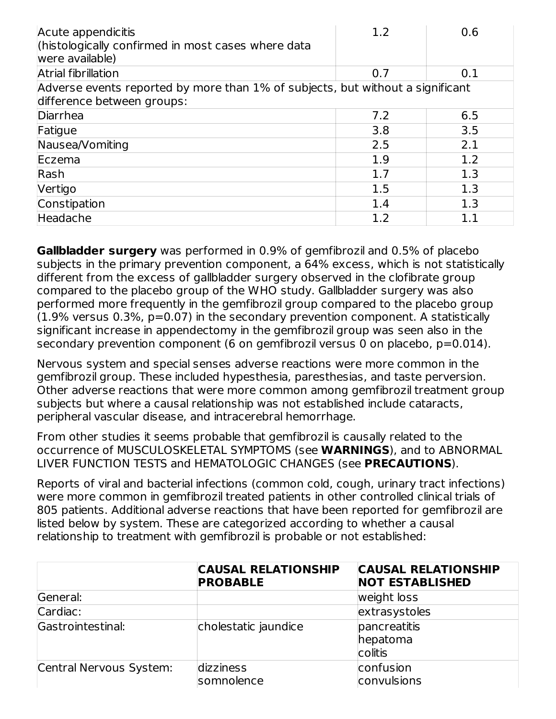| Acute appendicitis<br>(histologically confirmed in most cases where data<br>were available)                  | 1.2 | 0.6 |
|--------------------------------------------------------------------------------------------------------------|-----|-----|
| Atrial fibrillation                                                                                          | 0.7 | 0.1 |
| Adverse events reported by more than 1% of subjects, but without a significant<br>difference between groups: |     |     |
| Diarrhea                                                                                                     | 7.2 | 6.5 |
| Fatigue                                                                                                      | 3.8 | 3.5 |
| Nausea/Vomiting                                                                                              | 2.5 | 2.1 |
| Eczema                                                                                                       | 1.9 | 1.2 |
| Rash                                                                                                         | 1.7 | 1.3 |
| Vertigo                                                                                                      | 1.5 | 1.3 |
| Constipation                                                                                                 | 1.4 | 1.3 |
| Headache                                                                                                     | 1.2 |     |

**Gallbladder surgery** was performed in 0.9% of gemfibrozil and 0.5% of placebo subjects in the primary prevention component, a 64% excess, which is not statistically different from the excess of gallbladder surgery observed in the clofibrate group compared to the placebo group of the WHO study. Gallbladder surgery was also performed more frequently in the gemfibrozil group compared to the placebo group (1.9% versus 0.3%, p=0.07) in the secondary prevention component. A statistically significant increase in appendectomy in the gemfibrozil group was seen also in the secondary prevention component (6 on gemfibrozil versus 0 on placebo, p=0.014).

Nervous system and special senses adverse reactions were more common in the gemfibrozil group. These included hypesthesia, paresthesias, and taste perversion. Other adverse reactions that were more common among gemfibrozil treatment group subjects but where a causal relationship was not established include cataracts, peripheral vascular disease, and intracerebral hemorrhage.

From other studies it seems probable that gemfibrozil is causally related to the occurrence of MUSCULOSKELETAL SYMPTOMS (see **WARNINGS**), and to ABNORMAL LIVER FUNCTION TESTS and HEMATOLOGIC CHANGES (see **PRECAUTIONS**).

Reports of viral and bacterial infections (common cold, cough, urinary tract infections) were more common in gemfibrozil treated patients in other controlled clinical trials of 805 patients. Additional adverse reactions that have been reported for gemfibrozil are listed below by system. These are categorized according to whether a causal relationship to treatment with gemfibrozil is probable or not established:

|                         | <b>CAUSAL RELATIONSHIP</b><br><b>PROBABLE</b> | <b>CAUSAL RELATIONSHIP</b><br><b>NOT ESTABLISHED</b> |
|-------------------------|-----------------------------------------------|------------------------------------------------------|
| General:                |                                               | weight loss                                          |
| Cardiac:                |                                               | extrasystoles                                        |
| Gastrointestinal:       | cholestatic jaundice                          | pancreatitis<br>hepatoma<br>colitis                  |
| Central Nervous System: | dizziness<br>somnolence                       | confusion<br>convulsions                             |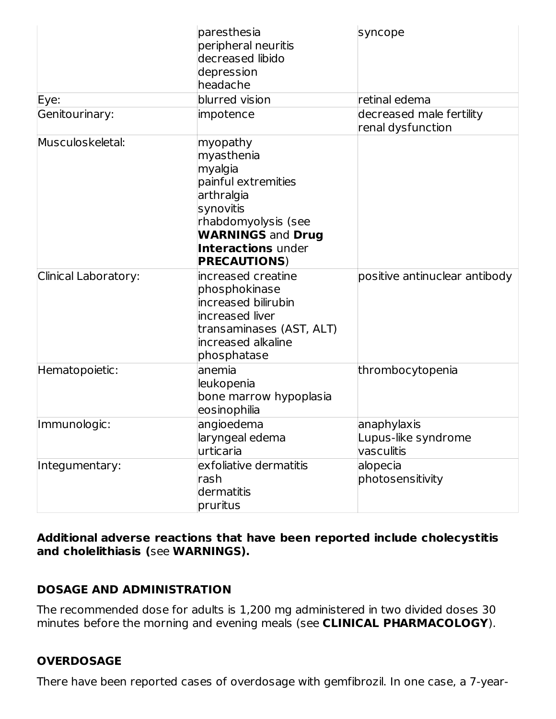|                      | paresthesia<br>peripheral neuritis<br>decreased libido<br>depression<br>headache                                                                                                           | syncope                                          |
|----------------------|--------------------------------------------------------------------------------------------------------------------------------------------------------------------------------------------|--------------------------------------------------|
| Eye:                 | blurred vision                                                                                                                                                                             | retinal edema                                    |
| Genitourinary:       | impotence                                                                                                                                                                                  | decreased male fertility<br>renal dysfunction    |
| Musculoskeletal:     | myopathy<br>myasthenia<br>myalgia<br>painful extremities<br>arthralgia<br>synovitis<br>rhabdomyolysis (see<br><b>WARNINGS and Drug</b><br><b>Interactions</b> under<br><b>PRECAUTIONS)</b> |                                                  |
| Clinical Laboratory: | increased creatine<br>phosphokinase<br>increased bilirubin<br>increased liver<br>transaminases (AST, ALT)<br>increased alkaline<br>phosphatase                                             | positive antinuclear antibody                    |
| Hematopoietic:       | anemia<br>leukopenia<br>bone marrow hypoplasia<br>eosinophilia                                                                                                                             | thrombocytopenia                                 |
| Immunologic:         | angioedema<br>laryngeal edema<br>urticaria                                                                                                                                                 | anaphylaxis<br>Lupus-like syndrome<br>vasculitis |
| Integumentary:       | exfoliative dermatitis<br>rash<br>dermatitis<br>pruritus                                                                                                                                   | alopecia<br>photosensitivity                     |

**Additional adverse reactions that have been reported include cholecystitis and cholelithiasis (**see **WARNINGS).**

### **DOSAGE AND ADMINISTRATION**

The recommended dose for adults is 1,200 mg administered in two divided doses 30 minutes before the morning and evening meals (see **CLINICAL PHARMACOLOGY**).

### **OVERDOSAGE**

There have been reported cases of overdosage with gemfibrozil. In one case, a 7-year-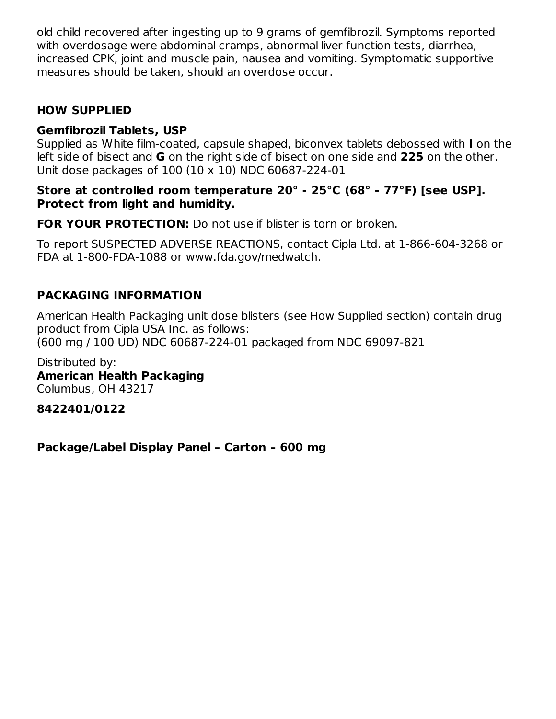old child recovered after ingesting up to 9 grams of gemfibrozil. Symptoms reported with overdosage were abdominal cramps, abnormal liver function tests, diarrhea, increased CPK, joint and muscle pain, nausea and vomiting. Symptomatic supportive measures should be taken, should an overdose occur.

### **HOW SUPPLIED**

#### **Gemfibrozil Tablets, USP**

Supplied as White film-coated, capsule shaped, biconvex tablets debossed with **I** on the left side of bisect and **G** on the right side of bisect on one side and **225** on the other. Unit dose packages of 100 (10 x 10) NDC 60687-224-01

#### **Store at controlled room temperature 20° - 25°C (68° - 77°F) [see USP]. Protect from light and humidity.**

**FOR YOUR PROTECTION:** Do not use if blister is torn or broken.

To report SUSPECTED ADVERSE REACTIONS, contact Cipla Ltd. at 1-866-604-3268 or FDA at 1-800-FDA-1088 or www.fda.gov/medwatch.

### **PACKAGING INFORMATION**

American Health Packaging unit dose blisters (see How Supplied section) contain drug product from Cipla USA Inc. as follows: (600 mg / 100 UD) NDC 60687-224-01 packaged from NDC 69097-821

Distributed by: **American Health Packaging** Columbus, OH 43217

### **8422401/0122**

**Package/Label Display Panel – Carton – 600 mg**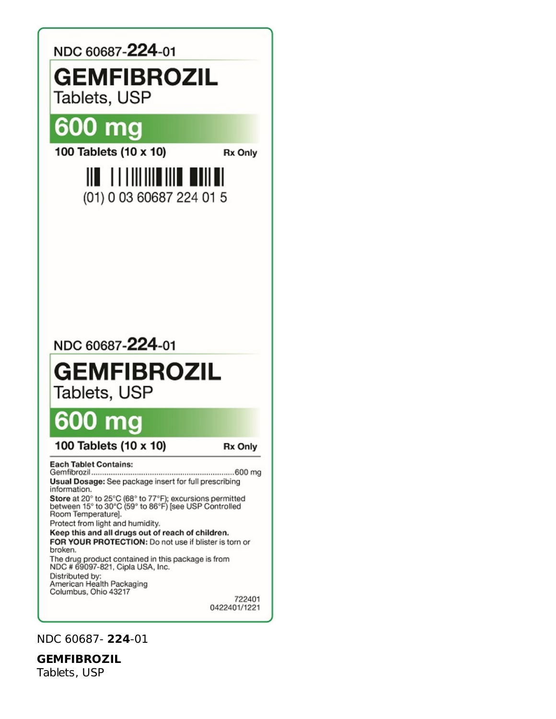# NDC 60687-224-01 **GEMFIBROZIL** Tablets, USP mg 6 100 Tablets (10 x 10) Rx Only <u> III | IIIIIIIIIIIIIII IIIIIII</u> (01) 0 03 60687 224 01 5 NDC 60687-224-01 **GEMFIBROZIL** Tablets, USP 600 ma 100 Tablets (10 x 10) Rx Only **Each Tablet Contains:** Usual Dosage: See package insert for full prescribing information. Store at 20° to 25°C (68° to 77°F); excursions permitted<br>between 15° to 30°C (59° to 86°F) [see USP Controlled Room Temperature]. Protect from light and humidity. Keep this and all drugs out of reach of children. FOR YOUR PROTECTION: Do not use if blister is torn or broken. The drug product contained in this package is from<br>NDC # 69097-821, Cipla USA, Inc. Distributed by:<br>American Health Packaging Columbus, Ohio 43217 722401

0422401/1221

### NDC 60687- **224**-01

**GEMFIBROZIL** Tablets, USP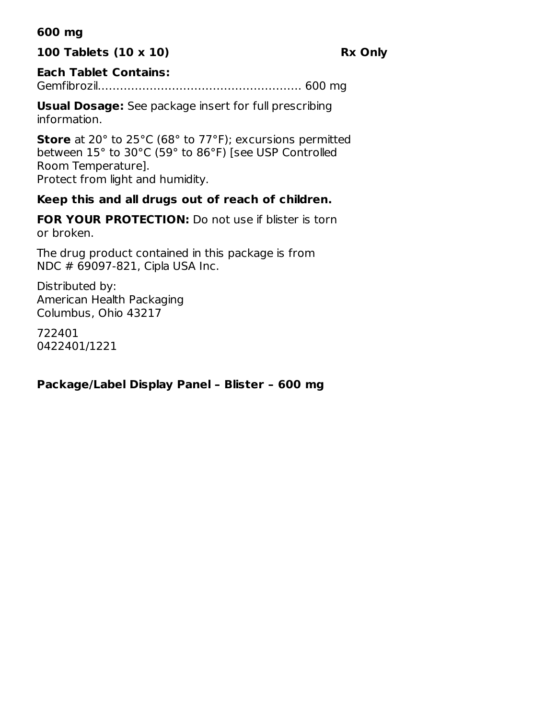#### **600 mg**

#### **100 Tablets (10 x 10) Rx Only**

#### **Each Tablet Contains:**

Gemfibrozil………………………………………………. 600 mg

**Usual Dosage:** See package insert for full prescribing information.

**Store** at 20° to 25°C (68° to 77°F); excursions permitted between 15° to 30°C (59° to 86°F) [see USP Controlled Room Temperature]. Protect from light and humidity.

#### **Keep this and all drugs out of reach of children.**

**FOR YOUR PROTECTION:** Do not use if blister is torn or broken.

The drug product contained in this package is from NDC # 69097-821, Cipla USA Inc.

Distributed by: American Health Packaging Columbus, Ohio 43217

722401 0422401/1221

#### **Package/Label Display Panel – Blister – 600 mg**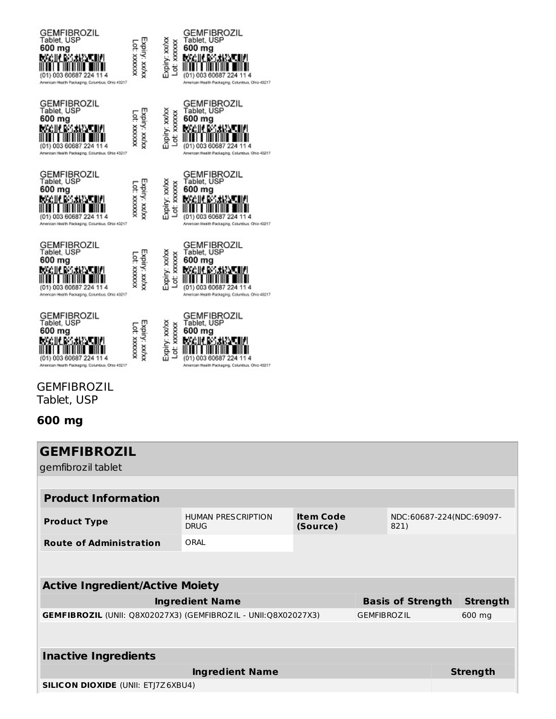

#### **GEMFIBROZIL** Tablet, USP

#### **600 mg**

| <b>GEMFIBROZIL</b><br>gemfibrozil tablet                       |                                          |                              |                    |                                  |                 |
|----------------------------------------------------------------|------------------------------------------|------------------------------|--------------------|----------------------------------|-----------------|
|                                                                |                                          |                              |                    |                                  |                 |
| <b>Product Information</b>                                     |                                          |                              |                    |                                  |                 |
| <b>Product Type</b>                                            | <b>HUMAN PRESCRIPTION</b><br><b>DRUG</b> | <b>Item Code</b><br>(Source) |                    | NDC:60687-224(NDC:69097-<br>821) |                 |
| <b>Route of Administration</b>                                 | ORAL                                     |                              |                    |                                  |                 |
| <b>Active Ingredient/Active Moiety</b>                         |                                          |                              |                    |                                  |                 |
|                                                                | <b>Ingredient Name</b>                   |                              |                    | <b>Basis of Strength</b>         | <b>Strength</b> |
| GEMFIBROZIL (UNII: Q8X02027X3) (GEMFIBROZIL - UNII:Q8X02027X3) |                                          |                              | <b>GEMFIBROZIL</b> |                                  | 600 mg          |
|                                                                |                                          |                              |                    |                                  |                 |
| <b>Inactive Ingredients</b>                                    |                                          |                              |                    |                                  |                 |
|                                                                | <b>Ingredient Name</b>                   |                              |                    |                                  | <b>Strength</b> |
| <b>SILICON DIOXIDE (UNII: ETJ7Z6XBU4)</b>                      |                                          |                              |                    |                                  |                 |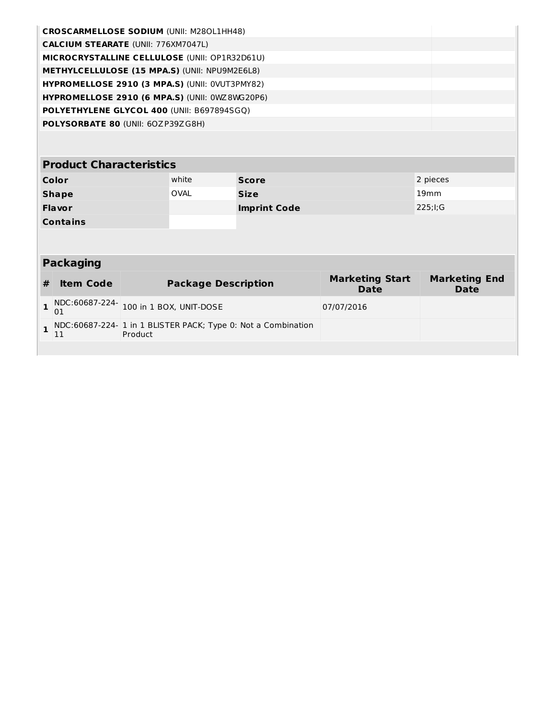| <b>CROSCARMELLOSE SODIUM (UNII: M280L1HH48)</b>       |  |
|-------------------------------------------------------|--|
| <b>CALCIUM STEARATE (UNII: 776XM7047L)</b>            |  |
| <b>MICROCRYSTALLINE CELLULOSE (UNII: OP1R32D61U)</b>  |  |
| <b>METHYLCELLULOSE (15 MPA.S) (UNII: NPU9M2E6L8)</b>  |  |
| <b>HYPROMELLOSE 2910 (3 MPA.S) (UNII: OVUT3PMY82)</b> |  |
| <b>HYPROMELLOSE 2910 (6 MPA.S) (UNII: 0WZ8WG20P6)</b> |  |
| <b>POLYETHYLENE GLYCOL 400 (UNII: B697894SGQ)</b>     |  |
| <b>POLYSORBATE 80 (UNII: 60ZP39ZG8H)</b>              |  |

### **Product Characteristics**

| Color           | white | <b>Score</b>        | 2 pieces |
|-----------------|-------|---------------------|----------|
| <b>Shape</b>    | OVAL  | <b>Size</b>         | 19mm     |
| <b>Flavor</b>   |       | <b>Imprint Code</b> | 225;I;G  |
| <b>Contains</b> |       |                     |          |

#### **Packaging # Item Code Package Description Marketing Start Date Marketing End Date 1** NDC:60687-224-07/07/2016<br>01 001 07/07/2016 **1** NDC:60687-224-11 1 in 1 BLISTER PACK; Type 0: Not a Combination Product